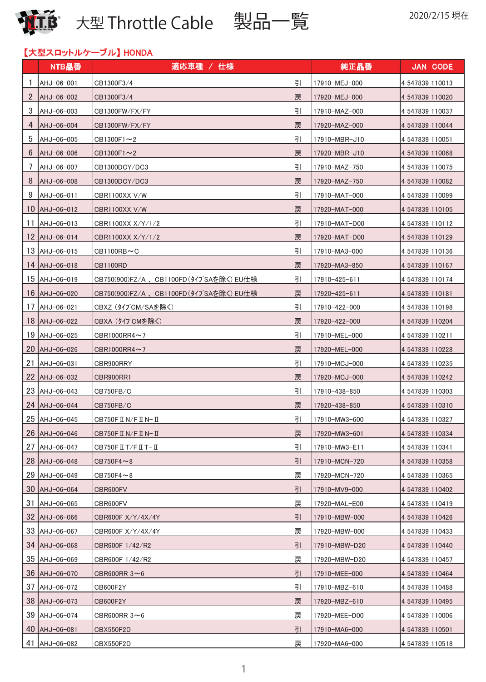

2020/2/15 現在 **大型 Throttle Cable** 製品一覧 É

| 【大型スロットルケーブル】HONDA |  |
|--------------------|--|
|                    |  |

|                |                      | 【大型スロットルケーブル】 HONDA                            |   |               |                 |
|----------------|----------------------|------------------------------------------------|---|---------------|-----------------|
|                | NTB品番                | 適応車種 / 仕様                                      |   | 純正品番          | <b>JAN CODE</b> |
| -1             | AHJ-06-001           | CB1300F3/4                                     | 引 | 17910-MEJ-000 | 4 547839 110013 |
| $\overline{2}$ | AHJ-06-002           | CB1300F3/4                                     | 戻 | 17920-MEJ-000 | 4 547839 110020 |
| 3              | AHJ-06-003           | CB1300FW/FX/FY                                 | 引 | 17910-MAZ-000 | 4 547839 110037 |
| 4              | AHJ-06-004           | CB1300FW/FX/FY                                 | 戻 | 17920-MAZ-000 | 4 547839 110044 |
| 5              | AHJ-06-005           | $CB1300F1 \sim 2$                              | 引 | 17910-MBR-J10 | 4 547839 110051 |
| 6              | AHJ-06-006           | $CB1300F1 \sim 2$                              | 戻 | 17920-MBR-J10 | 4 547839 110068 |
| 7              | AHJ-06-007           | CB1300DCY/DC3                                  | 引 | 17910-MAZ-750 | 4 547839 110075 |
| 8              | AHJ-06-008           | CB1300DCY/DC3                                  | 戻 | 17920-MAZ-750 | 4 547839 110082 |
| 9              | AHJ-06-011           | CBR1100XX V/W                                  | 引 | 17910-MAT-000 | 4 547839 110099 |
|                | 10 AHJ-06-012        | CBR1100XX V/W                                  | 戻 | 17920-MAT-000 | 4 547839 110105 |
| 11             | AHJ-06-013           | CBR1100XX X/Y/1/2                              | 引 | 17910-MAT-D00 | 4 547839 110112 |
|                | 12 AHJ-06-014        | CBR1100XX X/Y/1/2                              | 戻 | 17920-MAT-D00 | 4 547839 110129 |
|                | $13$ $\mu$ HJ-06-015 | $CB1100RB \sim C$                              | 引 | 17910-MA3-000 | 4 547839 110136 |
|                | 14 AHJ-06-018        | CB1100RD                                       | 戻 | 17920-MA3-850 | 4 547839 110167 |
|                | 15 AHJ-06-019        | CB750(900)FZ/A 、CB1100FD(タイブSAを除く) EU仕様        | 引 | 17910-425-611 | 4 547839 110174 |
| 16             | AHJ-06-020           | CB750(900)FZ/A 、CB1100FD(タイブSAを除く) EU仕様        | 戻 | 17920-425-611 | 4 547839 110181 |
| 17             | $AAJ-06-021$         | CBXZ (タイブCM/SAを除く)                             | 引 | 17910-422-000 | 4 547839 110198 |
|                | 18 AHJ-06-022        | CBXA (タイブCMを除く)                                | 戻 | 17920-422-000 | 4 547839 110204 |
| 19             | AHJ-06-025           | CBR1000RR4 $\sim$ 7                            | 引 | 17910-MEL-000 | 4 547839 110211 |
| 20             | AHJ-06-026           | CBR1000RR4 $\sim$ 7                            | 戻 | 17920-MEL-000 | 4 547839 110228 |
| 21             | AHJ-06-031           | CBR900RRY                                      | 引 | 17910-MCJ-000 | 4 547839 110235 |
|                | 22 AHJ-06-032        | CBR900RR1                                      | 戻 | 17920-MCJ-000 | 4 547839 110242 |
|                | 23 AHJ-06-043        | CB750FB/C                                      | 引 | 17910-438-850 | 4 547839 110303 |
|                | 24 AHJ-06-044        | CB750FB/C                                      | 戻 | 17920-438-850 | 4 547839 110310 |
|                | 25 AHJ-06-045        | CB750F II N/F II N-II                          | 引 | 17910-MW3-600 | 4 547839 110327 |
|                | 26 AHJ-06-046        | CB750F II N/F II N- II                         | 戻 | 17920-MW3-601 | 4 547839 110334 |
| 27             | AHJ-06-047           | CB750F $\text{I}$ T/F $\text{I}$ T- $\text{I}$ | 引 | 17910-MW3-E11 | 4 547839 110341 |
|                | 28 AHJ-06-048        | $CB750F4 \sim 8$                               | 引 | 17910-MCN-720 | 4 547839 110358 |
|                | 29 AHJ-06-049        | $CB750F4 \sim 8$                               | 戻 | 17920-MCN-720 | 4 547839 110365 |
|                | 30 AHJ-06-064        | CBR600FV                                       | 引 | 17910-MV9-000 | 4 547839 110402 |
| 31             | AHJ-06-065           | CBR600FV                                       | 戻 | 17920-MAL-E00 | 4 547839 110419 |
|                | 32 AHJ-06-066        | CBR600F X/Y/4X/4Y                              | 引 | 17910-MBW-000 | 4 547839 110426 |
| 33             | AHJ-06-067           | CBR600F X/Y/4X/4Y                              | 戻 | 17920-MBW-000 | 4 547839 110433 |
|                | 34 AHJ-06-068        | CBR600F 1/42/R2                                | 引 | 17910-MBW-D20 | 4 547839 110440 |
| 35             | AHJ-06-069           | CBR600F 1/42/R2                                | 戻 | 17920-MBW-D20 | 4 547839 110457 |
| 36             | AHJ-06-070           | CBR600RR $3 \sim 6$                            | 引 | 17910-MEE-000 | 4 547839 110464 |
| 37             | AHJ-06-072           | CB600F2Y                                       | 引 | 17910-MBZ-610 | 4 547839 110488 |
|                | 38 AHJ-06-073        | CB600F2Y                                       | 戻 | 17920-MBZ-610 | 4 547839 110495 |
|                | 39 AHJ-06-074        | CBR600RR $3\sim6$                              | 戻 | 17920-MEE-D00 | 4 547839 110006 |
|                | 40 AHJ-06-081        | CBX550F2D                                      | 引 | 17910-MA6-000 | 4 547839 110501 |
|                | 41 AHJ-06-082        | CBX550F2D                                      | 戻 | 17920-MA6-000 | 4 547839 110518 |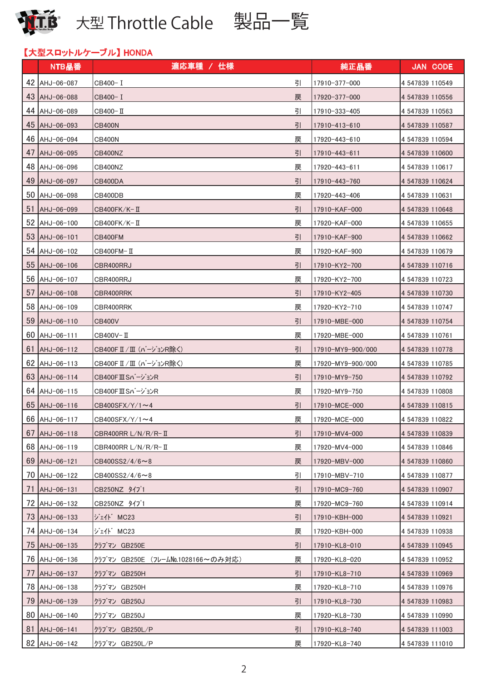

# 【大型スロットルケーブル】 HONDA

|    | NTB品番                | 適応車種 / 仕様                                | 純正品番              | <b>JAN CODE</b> |
|----|----------------------|------------------------------------------|-------------------|-----------------|
|    | 42 AHJ-06-087        | 引<br>CB400-I                             | 17910-377-000     | 4 547839 110549 |
|    | 43 AHJ-06-088        | CB400-I<br>戻                             | 17920-377-000     | 4 547839 110556 |
|    | 44 AHJ-06-089        | 引<br>CB400-II                            | 17910-333-405     | 4 547839 110563 |
|    | 45 AHJ-06-093        | 引<br>CB400N                              | 17910-413-610     | 4 547839 110587 |
| 46 | AHJ-06-094           | 戻<br>CB400N                              | 17920-443-610     | 4 547839 110594 |
| 47 | $ $ AHJ-06-095       | 引<br>CB400NZ                             | 17910-443-611     | 4 547839 110600 |
|    | 48 AHJ-06-096        | 戻<br>CB400NZ                             | 17920-443-611     | 4 547839 110617 |
|    | 49 AHJ-06-097        | 引<br>CB400DA                             | 17910-443-760     | 4 547839 110624 |
| 50 | AHJ-06-098           | 戻<br>CB400DB                             | 17920-443-406     | 4 547839 110631 |
| 51 | AHJ-06-099           | 引<br>CB400FK/K-Ⅱ                         | 17910-KAF-000     | 4 547839 110648 |
|    | 52 AHJ-06-100        | 戻<br>CB400FK/K-II                        | 17920-KAF-000     | 4 547839 110655 |
|    | $53$ $\mu$ HJ-06-101 | 引<br>CB400FM                             | 17910-KAF-900     | 4 547839 110662 |
|    | 54 AHJ-06-102        | 戻<br>СВ400FM- Ⅱ                          | 17920-KAF-900     | 4 547839 110679 |
| 55 | AHJ-06-106           | 引<br>CBR400RRJ                           | 17910-KY2-700     | 4 547839 110716 |
| 56 | AHJ-06-107           | 戻<br>CBR400RRJ                           | 17920-KY2-700     | 4 547839 110723 |
| 57 | AHJ-06-108           | 引<br>CBR400RRK                           | 17910-KY2-405     | 4 547839 110730 |
| 58 | AHJ-06-109           | 戻<br>CBR400RRK                           | 17920-KY2-710     | 4 547839 110747 |
| 59 | AHJ-06-110           | 引<br><b>CB400V</b>                       | 17910-MBE-000     | 4 547839 110754 |
| 60 | AHJ-06-111           | 戻<br>CB400V-Ⅱ                            | 17920-MBE-000     | 4 547839 110761 |
| 61 | AHJ-06-112           | 引<br>CB400FⅡ/Ⅲ (バージョンR除く)                | 17910-MY9-900/000 | 4 547839 110778 |
| 62 | AHJ-06-113           | 戻<br>CB400FⅡ/Ⅲ (バージョンR除く)                | 17920-MY9-900/000 | 4 547839 110785 |
| 63 | AHJ-06-114           | 引<br>CB400FⅢSバージョンR                      | 17910-MY9-750     | 4 547839 110792 |
|    | 64 AHJ-06-115        | 戻<br>CB400FⅢSバージョンR                      | 17920-MY9-750     | 4 547839 110808 |
| 65 | AHJ-06-116           | 引<br>CB400SFX/Y/1 $\sim$ 4               | 17910-MCE-000     | 4 547839 110815 |
|    | 66 AHJ-06-117        | CB400SFX/Y/1~4<br>戻                      | 17920-MCE-000     | 4 547839 110822 |
| 67 | AHJ-06-118           | 引<br>CBR400RR L/N/R/R-II                 | 17910-MV4-000     | 4 547839 110839 |
|    | 68 AHJ-06-119        | 戻<br>CBR400RR L/N/R/R-II                 | 17920-MV4-000     | 4 547839 110846 |
|    | $69$ $AAJ-06-121$    | 戻<br>$CB400SS2/4/6 \sim 8$               | 17920-MBV-000     | 4 547839 110860 |
|    | 70 AHJ-06-122        | 引<br>$CB400SS2/4/6 \sim 8$               | 17910-MBV-710     | 4 547839 110877 |
| 71 | AHJ-06-131           | 引<br>CB250NZ タイプ1                        | 17910-MC9-760     | 4 547839 110907 |
|    | 72 AHJ-06-132        | 戻<br>CB250NZ タイプ1                        | 17920-MC9-760     | 4 547839 110914 |
| 73 | $AAJ-06-133$         | ジェイド MC23<br>引                           | 17910-KBH-000     | 4 547839 110921 |
|    | 74 AHJ-06-134        | ジェイド MC23<br>戻                           | 17920-KBH-000     | 4 547839 110938 |
|    | 75 AHJ-06-135        | 引<br>クラブマン GB250E                        | 17910-KL8-010     | 4 547839 110945 |
|    | 76 AHJ-06-136        | 戻<br> クラブマン GB250E (フレームNo.1028166~のみ対応) | 17920-KL8-020     | 4 547839 110952 |
| 77 | AHJ-06-137           | 引<br> クラブマン GB250H                       | 17910-KL8-710     | 4 547839 110969 |
|    | 78 AHJ-06-138        | 戻<br> クラブマン GB250H                       | 17920-KL8-710     | 4 547839 110976 |
| 79 | AHJ-06-139           | 引<br> クラブマン GB250J                       | 17910-KL8-730     | 4 547839 110983 |
| 80 | AHJ-06-140           | クラブマン GB250J<br>戻                        | 17920-KL8-730     | 4 547839 110990 |
| 81 | AHJ-06-141           | 引<br> クラブマン GB250L/P                     | 17910-KL8-740     | 4 547839 111003 |
|    | 82 AHJ-06-142        | 戻<br> クラブマン GB250L/P                     | 17920-KL8-740     | 4 547839 111010 |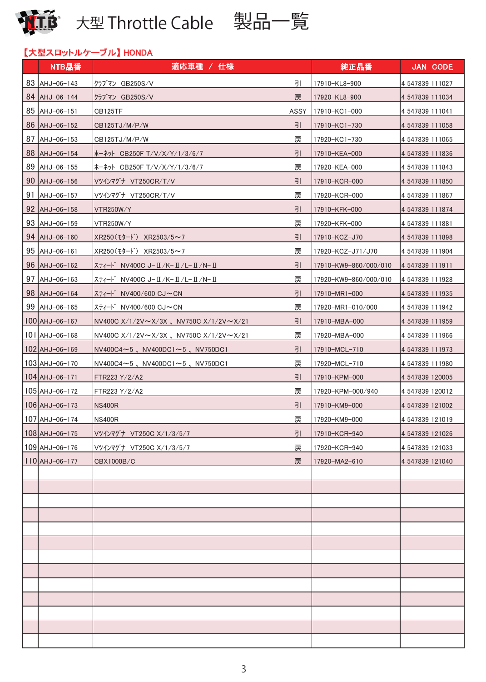

# 【大型スロットルケーブル】 HONDA

|    | NTB品番                    | 適応車種 / 仕様                                                  | 純正品番                  | <b>JAN CODE</b> |
|----|--------------------------|------------------------------------------------------------|-----------------------|-----------------|
|    | 83 AHJ-06-143            | 引<br>クラブマン GB250S/V                                        | 17910-KL8-900         | 4 547839 111027 |
|    | 84 AHJ-06-144            | クラブマン GB250S/V<br>戻                                        | 17920-KL8-900         | 4 547839 111034 |
|    | 85 AHJ-06-151            | CB125TF<br>ASSY                                            | 17910-KC1-000         | 4 547839 111041 |
|    | 86 AHJ-06-152            | 引<br>CB125TJ/M/P/W                                         | 17910-KC1-730         | 4 547839 111058 |
| 87 | AHJ-06-153               | 戻<br>CB125TJ/M/P/W                                         | 17920-KC1-730         | 4 547839 111065 |
|    | 88 AHJ-06-154            | 引<br> ホーネット CB250F T/V/X/Y/1/3/6/7                         | 17910-KEA-000         | 4 547839 111836 |
|    | 89 AHJ-06-155            | 戻<br>ホーネット CB250F T/V/X/Y/1/3/6/7                          | 17920-KEA-000         | 4 547839 111843 |
|    | 90 AHJ-06-156            | 引<br>Vツインマグナ VT250CR/T/V                                   | 17910-KCR-000         | 4 547839 111850 |
| 91 | AHJ-06-157               | 戻<br>Vツインマグナ VT250CR/T/V                                   | 17920-KCR-000         | 4 547839 111867 |
|    | $92$ $\text{AHJ}-06-158$ | 引<br>VTR250W/Y                                             | 17910-KFK-000         | 4 547839 111874 |
|    | 93 AHJ-06-159            | 戻<br>VTR250W/Y                                             | 17920-KFK-000         | 4 547839 111881 |
|    | 94 AHJ-06-160            | 引<br>XR250(モタート) XR2503/5~7                                | 17910-KCZ-J70         | 4 547839 111898 |
|    | 95 AHJ-06-161            | 戻<br>$XR250(E9-F)$ XR2503/5~7                              | 17920-KCZ-J71/J70     | 4 547839 111904 |
|    | $96$ $\mu$ HJ-06-162     | 引<br> スティード NV400C J-Ⅱ/K-Ⅱ/L-Ⅱ/N-Ⅱ                         | 17910-KW9-860/000/010 | 4 547839 111911 |
|    | 97 AHJ-06-163            | 戻<br>スティート゛NV400C J-Ⅱ/K-Ⅱ/L-Ⅱ/N-Ⅱ                          | 17920-KW9-860/000/010 | 4 547839 111928 |
|    | 98 AHJ-06-164            | 引<br>スティート゛ NV400/600 CJ~CN                                | 17910-MR1-000         | 4 547839 111935 |
|    | 99 AHJ-06-165            | 戻<br>スティート゛NV400/600 CJ~CN                                 | 17920-MR1-010/000     | 4 547839 111942 |
|    | 100 AHJ-06-167           | 引<br>NV400C $X/1/2V \sim X/3X$ , NV750C $X/1/2V \sim X/21$ | 17910-MBA-000         | 4 547839 111959 |
|    | $101$  AHJ-06-168        | 戻<br>NV400C $X/1/2V \sim X/3X$ , NV750C $X/1/2V \sim X/21$ | 17920-MBA-000         | 4 547839 111966 |
|    | 102 AHJ-06-169           | 引<br>$NVA00C4 \sim 5$ , $NVA00DC1 \sim 5$ , $NV750DC1$     | 17910-MCL-710         | 4 547839 111973 |
|    | 103 AHJ-06-170           | 戻<br>NV400C4 $\sim$ 5、NV400DC1 $\sim$ 5、NV750DC1           | 17920-MCL-710         | 4 547839 111980 |
|    | $104$ $AHJ-06-171$       | 引<br>FTR223 Y/2/A2                                         | 17910-KPM-000         | 4 547839 120005 |
|    | 105 AHJ-06-172           | 戻<br>FTR223 Y/2/A2                                         | 17920-KPM-000/940     | 4 547839 120012 |
|    | 106 AHJ-06-173           | 引<br><b>NS400R</b>                                         | 17910-KM9-000         | 4 547839 121002 |
|    | 107 AHJ-06-174           | 戻<br><b>NS400R</b>                                         | 17920-KM9-000         | 4 547839 121019 |
|    | 108 AHJ-06-175           | 引<br>Vツインマグナ VT250C X/1/3/5/7                              | 17910-KCR-940         | 4 547839 121026 |
|    | 109 AHJ-06-176           | 戻<br>Vツインマグナ VT250C X/1/3/5/7                              | 17920-KCR-940         | 4 547839 121033 |
|    | $110$ AHJ-06-177         | 戻<br>CBX1000B/C                                            | 17920-MA2-610         | 4 547839 121040 |
|    |                          |                                                            |                       |                 |
|    |                          |                                                            |                       |                 |
|    |                          |                                                            |                       |                 |
|    |                          |                                                            |                       |                 |
|    |                          |                                                            |                       |                 |
|    |                          |                                                            |                       |                 |
|    |                          |                                                            |                       |                 |
|    |                          |                                                            |                       |                 |
|    |                          |                                                            |                       |                 |
|    |                          |                                                            |                       |                 |
|    |                          |                                                            |                       |                 |
|    |                          |                                                            |                       |                 |
|    |                          |                                                            |                       |                 |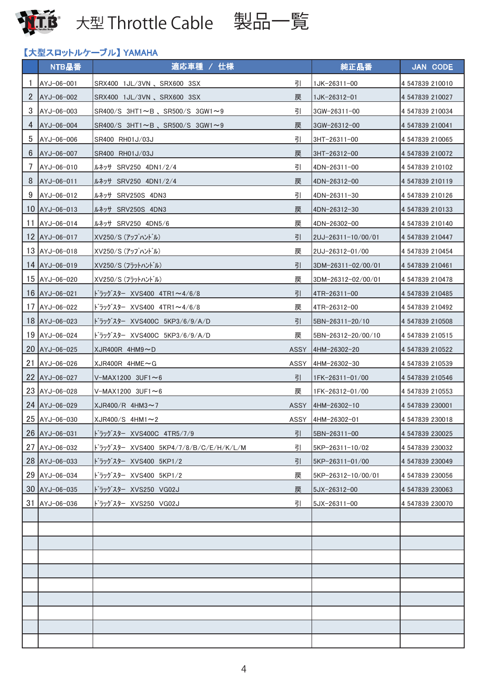





# 【大型スロットルケーブル】 YAMAHA

|                 | NTB品番                        | 適応車種 / 仕様                                                |             | 純正品番               | <b>JAN CODE</b> |
|-----------------|------------------------------|----------------------------------------------------------|-------------|--------------------|-----------------|
|                 | AYJ-06-001                   | SRX400 1JL/3VN 、SRX600 3SX                               | 引           | 1JK-26311-00       | 4 547839 210010 |
| $\overline{2}$  | AYJ-06-002                   | SRX400 1JL/3VN、SRX600 3SX                                | 戻           | 1JK-26312-01       | 4 547839 210027 |
| 3               | AYJ-06-003                   | $SR400/S$ 3HT1 $\sim$ B, SR500/S 3GW1 $\sim$ 9           | 引           | 3GW-26311-00       | 4 547839 210034 |
| 4               | AYJ-06-004                   | $ {\rm SR400/S} \>$ 3HT1 $\sim$ B, SR500/S 3GW1 $\sim$ 9 | 戻           | 3GW-26312-00       | 4 547839 210041 |
| 5               | AYJ-06-006                   | SR400 RH01J/03J                                          | 引           | 3HT-26311-00       | 4 547839 210065 |
| 6               | AYJ-06-007                   | SR400 RH01J/03J                                          | 戻           | 3HT-26312-00       | 4 547839 210072 |
| 7               | AYJ-06-010                   | $\mu$ $\lambda$ <sup>y</sup> SRV250 4DN1/2/4             | 引           | 4DN-26311-00       | 4 547839 210102 |
| 8               | $AYJ-06-011$                 | ルネッサ SRV250 4DN1/2/4                                     | 戻           | 4DN-26312-00       | 4 547839 210119 |
| 9               | AYJ-06-012                   | ルネッサ SRV250S 4DN3                                        | 引           | 4DN-26311-30       | 4 547839 210126 |
| 10 <sup>°</sup> | $\text{AYJ}-06-013$          | ルネッサ SRV250S 4DN3                                        | 戻           | 4DN-26312-30       | 4 547839 210133 |
| 11              | AYJ-06-014                   | ルネッサ SRV250 4DN5/6                                       | 戻           | 4DN-26302-00       | 4 547839 210140 |
|                 | 12 AYJ-06-017                | XV250/S (アップハントル)                                        | 引           | 2UJ-26311-10/00/01 | 4 547839 210447 |
|                 | 13 AYJ-06-018                | XV250/S (アップハントル)                                        | 戻           | 2UJ-26312-01/00    | 4 547839 210454 |
|                 | 14 AYJ-06-019                | XV250/S (フラットハント゛ル)                                      | 引           | 3DM-26311-02/00/01 | 4 547839 210461 |
|                 | 15 AYJ-06-020                | XV250/S (フラットハント゛ル)                                      | 戻           | 3DM-26312-02/00/01 | 4 547839 210478 |
|                 | $16$ $\text{AYJ} - 06 - 021$ | ドラッグスター XVS400 4TR1~4/6/8                                | 引           | 4TR-26311-00       | 4 547839 210485 |
|                 | 17 AYJ-06-022                | ドラッグスター XVS400 4TR1~4/6/8                                | 戻           | 4TR-26312-00       | 4 547839 210492 |
|                 | 18 AYJ-06-023                | ドラッグスター XVS400C 5KP3/6/9/A/D                             | 引           | 5BN-26311-20/10    | 4 547839 210508 |
|                 | 19 AYJ-06-024                | トラッグスター XVS400C 5KP3/6/9/A/D                             | 戻           | 5BN-26312-20/00/10 | 4 547839 210515 |
|                 | 20 AYJ-06-025                | $XJR400R$ 4HM9 $\sim$ D                                  | <b>ASSY</b> | 4HM-26302-20       | 4 547839 210522 |
| 21              | AYJ-06-026                   | $XJR400R$ 4HME $\sim$ G                                  | ASSY        | 4HM-26302-30       | 4 547839 210539 |
|                 | 22 AYJ-06-027                | $V-MAX1200$ 3UF1~6                                       | 引           | 1FK-26311-01/00    | 4 547839 210546 |
|                 | 23 AYJ-06-028                | $V-MAX1200$ 3UF1~6                                       | 戻           | IFK-26312-01/00    | 4 547839 210553 |
|                 | 24 AYJ-06-029                | $XJR400/R$ 4HM3~7                                        | <b>ASSY</b> | 4HM-26302-10       | 4 547839 230001 |
|                 | 25 AYJ-06-030                | $XJR400/S$ 4HM1 $\sim$ 2                                 | ASSY        | 4HM-26302-01       | 4 547839 230018 |
|                 | 26 AYJ-06-031                | ト゛ラッグスター XVS400C 4TR5/7/9                                | 引           | 5BN-26311-00       | 4 547839 230025 |
|                 | 27 AYJ-06-032                | ドラッグスター XVS400 5KP4/7/8/B/C/E/H/K/L/M                    | 引           | 5KP-26311-10/02    | 4 547839 230032 |
|                 | 28 AYJ-06-033                | ト゛ラッグスター XVS400 5KP1/2                                   | 引           | 5KP-26311-01/00    | 4 547839 230049 |
|                 | 29 AYJ-06-034                | ドラッグスター XVS400 5KP1/2                                    | 戻           | 5KP-26312-10/00/01 | 4 547839 230056 |
|                 | 30 AYJ-06-035                | ドラッグスター XVS250 VG02J                                     | 戻           | 5JX-26312-00       | 4 547839 230063 |
|                 | 31 AYJ-06-036                | ドラッグスター XVS250 VG02J                                     | 引           | 5JX-26311-00       | 4 547839 230070 |
|                 |                              |                                                          |             |                    |                 |
|                 |                              |                                                          |             |                    |                 |
|                 |                              |                                                          |             |                    |                 |
|                 |                              |                                                          |             |                    |                 |
|                 |                              |                                                          |             |                    |                 |
|                 |                              |                                                          |             |                    |                 |
|                 |                              |                                                          |             |                    |                 |
|                 |                              |                                                          |             |                    |                 |
|                 |                              |                                                          |             |                    |                 |
|                 |                              |                                                          |             |                    |                 |